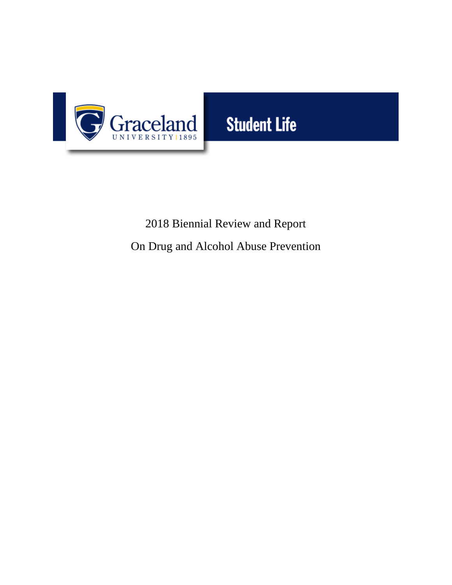

## **Student Life**

## 2018 Biennial Review and Report On Drug and Alcohol Abuse Prevention